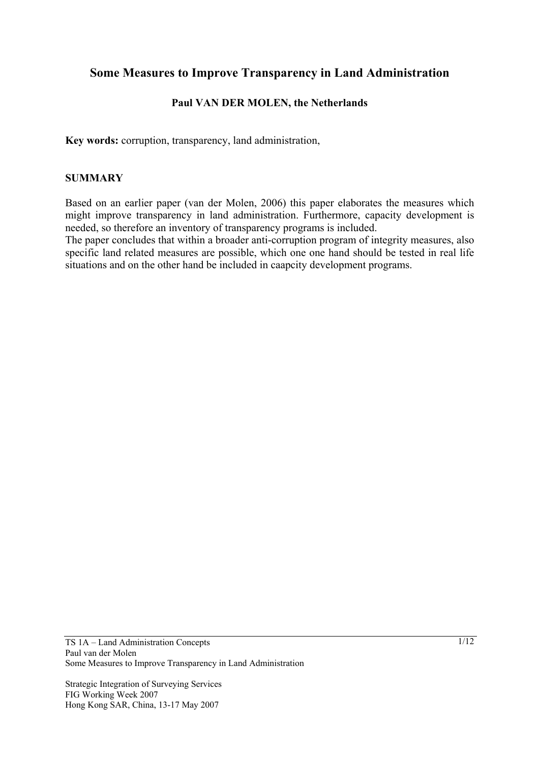# **Some Measures to Improve Transparency in Land Administration**

## **Paul VAN DER MOLEN, the Netherlands**

**Key words:** corruption, transparency, land administration,

### **SUMMARY**

Based on an earlier paper (van der Molen, 2006) this paper elaborates the measures which might improve transparency in land administration. Furthermore, capacity development is needed, so therefore an inventory of transparency programs is included.

The paper concludes that within a broader anti-corruption program of integrity measures, also specific land related measures are possible, which one one hand should be tested in real life situations and on the other hand be included in caapcity development programs.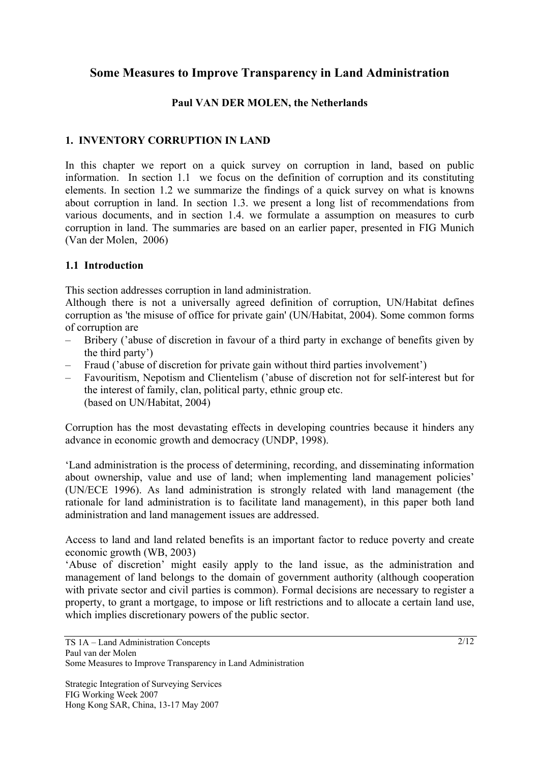# **Some Measures to Improve Transparency in Land Administration**

### **Paul VAN DER MOLEN, the Netherlands**

## **1. INVENTORY CORRUPTION IN LAND**

In this chapter we report on a quick survey on corruption in land, based on public information. In section 1.1 we focus on the definition of corruption and its constituting elements. In section 1.2 we summarize the findings of a quick survey on what is knowns about corruption in land. In section 1.3. we present a long list of recommendations from various documents, and in section 1.4. we formulate a assumption on measures to curb corruption in land. The summaries are based on an earlier paper, presented in FIG Munich (Van der Molen, 2006)

### **1.1 Introduction**

This section addresses corruption in land administration.

Although there is not a universally agreed definition of corruption, UN/Habitat defines corruption as 'the misuse of office for private gain' (UN/Habitat, 2004). Some common forms of corruption are

- Bribery ('abuse of discretion in favour of a third party in exchange of benefits given by the third party')
- Fraud ('abuse of discretion for private gain without third parties involvement')
- Favouritism, Nepotism and Clientelism ('abuse of discretion not for self-interest but for the interest of family, clan, political party, ethnic group etc. (based on UN/Habitat, 2004)

Corruption has the most devastating effects in developing countries because it hinders any advance in economic growth and democracy (UNDP, 1998).

'Land administration is the process of determining, recording, and disseminating information about ownership, value and use of land; when implementing land management policies' (UN/ECE 1996). As land administration is strongly related with land management (the rationale for land administration is to facilitate land management), in this paper both land administration and land management issues are addressed.

Access to land and land related benefits is an important factor to reduce poverty and create economic growth (WB, 2003)

'Abuse of discretion' might easily apply to the land issue, as the administration and management of land belongs to the domain of government authority (although cooperation with private sector and civil parties is common). Formal decisions are necessary to register a property, to grant a mortgage, to impose or lift restrictions and to allocate a certain land use, which implies discretionary powers of the public sector.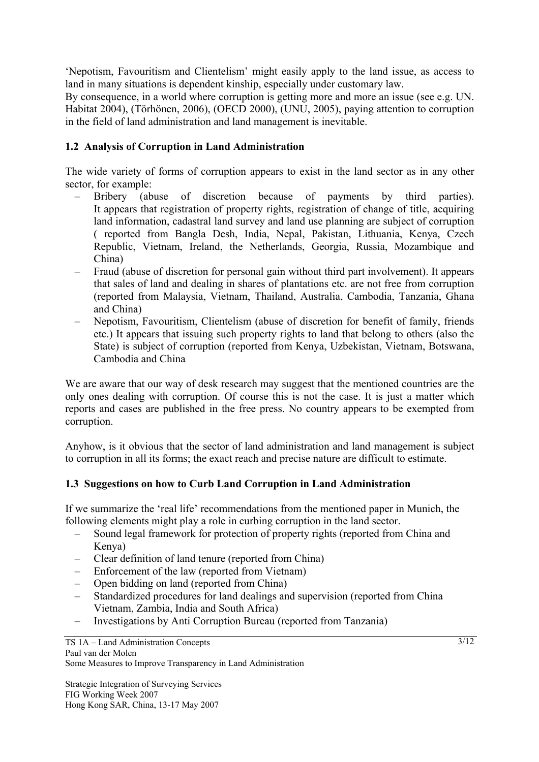'Nepotism, Favouritism and Clientelism' might easily apply to the land issue, as access to land in many situations is dependent kinship, especially under customary law.

By consequence, in a world where corruption is getting more and more an issue (see e.g. UN. Habitat 2004), (Törhönen, 2006), (OECD 2000), (UNU, 2005), paying attention to corruption in the field of land administration and land management is inevitable.

## **1.2 Analysis of Corruption in Land Administration**

The wide variety of forms of corruption appears to exist in the land sector as in any other sector, for example:

- Bribery (abuse of discretion because of payments by third parties). It appears that registration of property rights, registration of change of title, acquiring land information, cadastral land survey and land use planning are subject of corruption ( reported from Bangla Desh, India, Nepal, Pakistan, Lithuania, Kenya, Czech Republic, Vietnam, Ireland, the Netherlands, Georgia, Russia, Mozambique and China)
- Fraud (abuse of discretion for personal gain without third part involvement). It appears that sales of land and dealing in shares of plantations etc. are not free from corruption (reported from Malaysia, Vietnam, Thailand, Australia, Cambodia, Tanzania, Ghana and China)
- Nepotism, Favouritism, Clientelism (abuse of discretion for benefit of family, friends etc.) It appears that issuing such property rights to land that belong to others (also the State) is subject of corruption (reported from Kenya, Uzbekistan, Vietnam, Botswana, Cambodia and China

We are aware that our way of desk research may suggest that the mentioned countries are the only ones dealing with corruption. Of course this is not the case. It is just a matter which reports and cases are published in the free press. No country appears to be exempted from corruption.

Anyhow, is it obvious that the sector of land administration and land management is subject to corruption in all its forms; the exact reach and precise nature are difficult to estimate.

### **1.3 Suggestions on how to Curb Land Corruption in Land Administration**

If we summarize the 'real life' recommendations from the mentioned paper in Munich, the following elements might play a role in curbing corruption in the land sector.

- Sound legal framework for protection of property rights (reported from China and Kenya)
- Clear definition of land tenure (reported from China)
- Enforcement of the law (reported from Vietnam)
- Open bidding on land (reported from China)
- Standardized procedures for land dealings and supervision (reported from China Vietnam, Zambia, India and South Africa)
- Investigations by Anti Corruption Bureau (reported from Tanzania)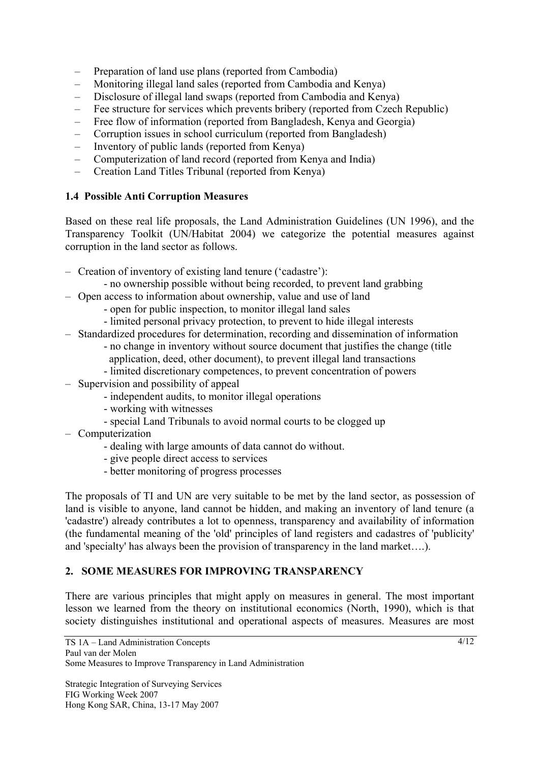- Preparation of land use plans (reported from Cambodia)
- Monitoring illegal land sales (reported from Cambodia and Kenya)
- Disclosure of illegal land swaps (reported from Cambodia and Kenya)
- Fee structure for services which prevents bribery (reported from Czech Republic)
- Free flow of information (reported from Bangladesh, Kenya and Georgia)
- Corruption issues in school curriculum (reported from Bangladesh)
- Inventory of public lands (reported from Kenya)
- Computerization of land record (reported from Kenya and India)
- Creation Land Titles Tribunal (reported from Kenya)

## **1.4 Possible Anti Corruption Measures**

Based on these real life proposals, the Land Administration Guidelines (UN 1996), and the Transparency Toolkit (UN/Habitat 2004) we categorize the potential measures against corruption in the land sector as follows.

- Creation of inventory of existing land tenure ('cadastre'):
	- no ownership possible without being recorded, to prevent land grabbing
- Open access to information about ownership, value and use of land
	- open for public inspection, to monitor illegal land sales
	- limited personal privacy protection, to prevent to hide illegal interests
- Standardized procedures for determination, recording and dissemination of information
	- no change in inventory without source document that justifies the change (title application, deed, other document), to prevent illegal land transactions
	- limited discretionary competences, to prevent concentration of powers
- Supervision and possibility of appeal
	- independent audits, to monitor illegal operations
	- working with witnesses
		- special Land Tribunals to avoid normal courts to be clogged up
- Computerization
	- dealing with large amounts of data cannot do without.
	- give people direct access to services
	- better monitoring of progress processes

The proposals of TI and UN are very suitable to be met by the land sector, as possession of land is visible to anyone, land cannot be hidden, and making an inventory of land tenure (a 'cadastre') already contributes a lot to openness, transparency and availability of information (the fundamental meaning of the 'old' principles of land registers and cadastres of 'publicity' and 'specialty' has always been the provision of transparency in the land market….).

## **2. SOME MEASURES FOR IMPROVING TRANSPARENCY**

There are various principles that might apply on measures in general. The most important lesson we learned from the theory on institutional economics (North, 1990), which is that society distinguishes institutional and operational aspects of measures. Measures are most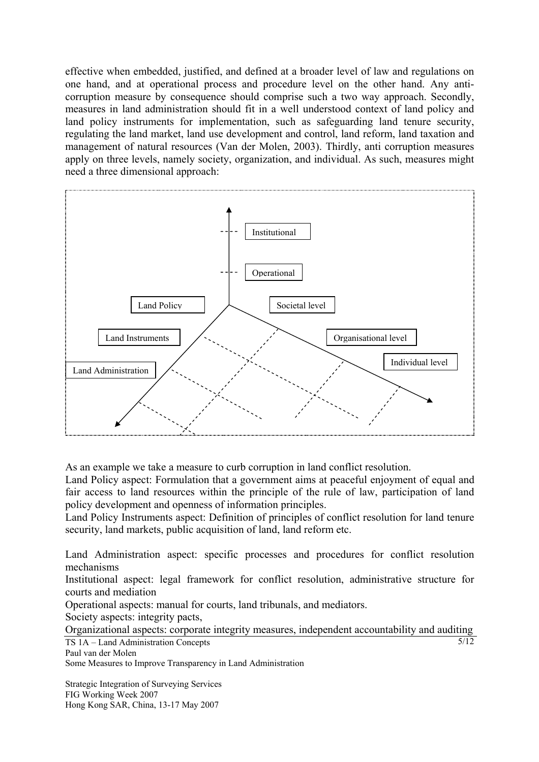effective when embedded, justified, and defined at a broader level of law and regulations on one hand, and at operational process and procedure level on the other hand. Any anticorruption measure by consequence should comprise such a two way approach. Secondly, measures in land administration should fit in a well understood context of land policy and land policy instruments for implementation, such as safeguarding land tenure security, regulating the land market, land use development and control, land reform, land taxation and management of natural resources (Van der Molen, 2003). Thirdly, anti corruption measures apply on three levels, namely society, organization, and individual. As such, measures might need a three dimensional approach:



As an example we take a measure to curb corruption in land conflict resolution.

Land Policy aspect: Formulation that a government aims at peaceful enjoyment of equal and fair access to land resources within the principle of the rule of law, participation of land policy development and openness of information principles.

Land Policy Instruments aspect: Definition of principles of conflict resolution for land tenure security, land markets, public acquisition of land, land reform etc.

Land Administration aspect: specific processes and procedures for conflict resolution mechanisms

Institutional aspect: legal framework for conflict resolution, administrative structure for courts and mediation

Operational aspects: manual for courts, land tribunals, and mediators.

Society aspects: integrity pacts,

TS 1A – Land Administration Concepts  $\overline{5/12}$ Organizational aspects: corporate integrity measures, independent accountability and auditing

Paul van der Molen

Some Measures to Improve Transparency in Land Administration

Strategic Integration of Surveying Services FIG Working Week 2007 Hong Kong SAR, China, 13-17 May 2007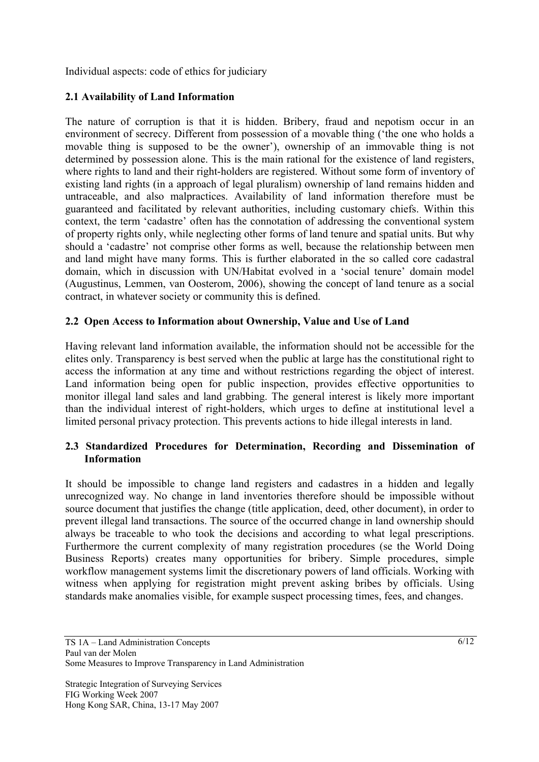Individual aspects: code of ethics for judiciary

## **2.1 Availability of Land Information**

The nature of corruption is that it is hidden. Bribery, fraud and nepotism occur in an environment of secrecy. Different from possession of a movable thing ('the one who holds a movable thing is supposed to be the owner'), ownership of an immovable thing is not determined by possession alone. This is the main rational for the existence of land registers, where rights to land and their right-holders are registered. Without some form of inventory of existing land rights (in a approach of legal pluralism) ownership of land remains hidden and untraceable, and also malpractices. Availability of land information therefore must be guaranteed and facilitated by relevant authorities, including customary chiefs. Within this context, the term 'cadastre' often has the connotation of addressing the conventional system of property rights only, while neglecting other forms of land tenure and spatial units. But why should a 'cadastre' not comprise other forms as well, because the relationship between men and land might have many forms. This is further elaborated in the so called core cadastral domain, which in discussion with UN/Habitat evolved in a 'social tenure' domain model (Augustinus, Lemmen, van Oosterom, 2006), showing the concept of land tenure as a social contract, in whatever society or community this is defined.

## **2.2 Open Access to Information about Ownership, Value and Use of Land**

Having relevant land information available, the information should not be accessible for the elites only. Transparency is best served when the public at large has the constitutional right to access the information at any time and without restrictions regarding the object of interest. Land information being open for public inspection, provides effective opportunities to monitor illegal land sales and land grabbing. The general interest is likely more important than the individual interest of right-holders, which urges to define at institutional level a limited personal privacy protection. This prevents actions to hide illegal interests in land.

## **2.3 Standardized Procedures for Determination, Recording and Dissemination of Information**

It should be impossible to change land registers and cadastres in a hidden and legally unrecognized way. No change in land inventories therefore should be impossible without source document that justifies the change (title application, deed, other document), in order to prevent illegal land transactions. The source of the occurred change in land ownership should always be traceable to who took the decisions and according to what legal prescriptions. Furthermore the current complexity of many registration procedures (se the World Doing Business Reports) creates many opportunities for bribery. Simple procedures, simple workflow management systems limit the discretionary powers of land officials. Working with witness when applying for registration might prevent asking bribes by officials. Using standards make anomalies visible, for example suspect processing times, fees, and changes.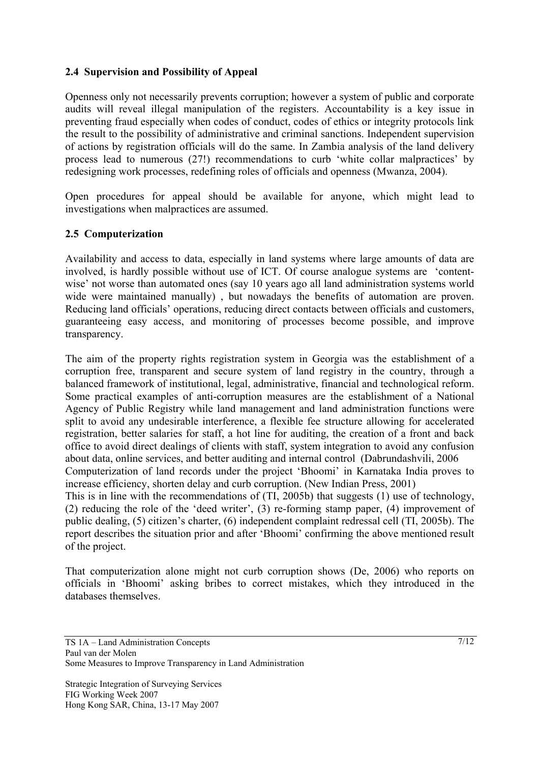### **2.4 Supervision and Possibility of Appeal**

Openness only not necessarily prevents corruption; however a system of public and corporate audits will reveal illegal manipulation of the registers. Accountability is a key issue in preventing fraud especially when codes of conduct, codes of ethics or integrity protocols link the result to the possibility of administrative and criminal sanctions. Independent supervision of actions by registration officials will do the same. In Zambia analysis of the land delivery process lead to numerous (27!) recommendations to curb 'white collar malpractices' by redesigning work processes, redefining roles of officials and openness (Mwanza, 2004).

Open procedures for appeal should be available for anyone, which might lead to investigations when malpractices are assumed.

#### **2.5 Computerization**

Availability and access to data, especially in land systems where large amounts of data are involved, is hardly possible without use of ICT. Of course analogue systems are 'contentwise' not worse than automated ones (say 10 years ago all land administration systems world wide were maintained manually) , but nowadays the benefits of automation are proven. Reducing land officials' operations, reducing direct contacts between officials and customers, guaranteeing easy access, and monitoring of processes become possible, and improve transparency.

The aim of the property rights registration system in Georgia was the establishment of a corruption free, transparent and secure system of land registry in the country, through a balanced framework of institutional, legal, administrative, financial and technological reform. Some practical examples of anti-corruption measures are the establishment of a National Agency of Public Registry while land management and land administration functions were split to avoid any undesirable interference, a flexible fee structure allowing for accelerated registration, better salaries for staff, a hot line for auditing, the creation of a front and back office to avoid direct dealings of clients with staff, system integration to avoid any confusion about data, online services, and better auditing and internal control (Dabrundashvili, 2006 Computerization of land records under the project 'Bhoomi' in Karnataka India proves to increase efficiency, shorten delay and curb corruption. (New Indian Press, 2001) This is in line with the recommendations of (TI, 2005b) that suggests (1) use of technology,

(2) reducing the role of the 'deed writer', (3) re-forming stamp paper, (4) improvement of public dealing, (5) citizen's charter, (6) independent complaint redressal cell (TI, 2005b). The report describes the situation prior and after 'Bhoomi' confirming the above mentioned result of the project.

That computerization alone might not curb corruption shows (De, 2006) who reports on officials in 'Bhoomi' asking bribes to correct mistakes, which they introduced in the databases themselves.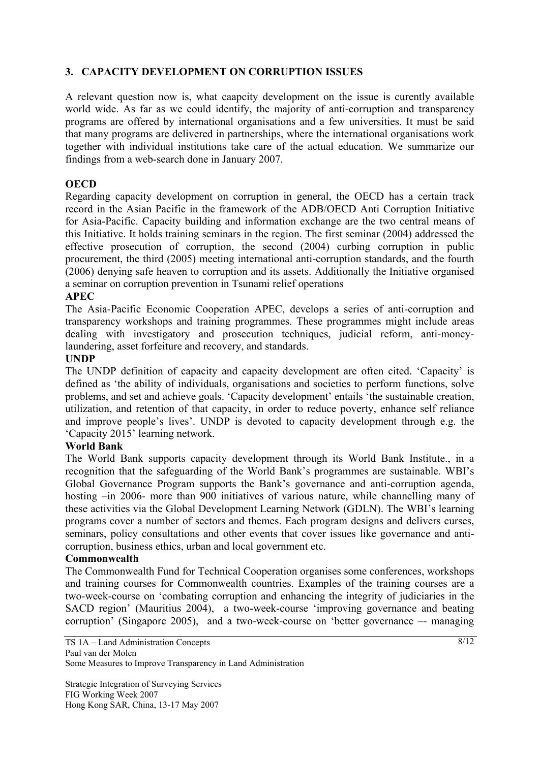## **3. CAPACITY DEVELOPMENT ON CORRUPTION ISSUES**

A relevant question now is, what caapcity development on the issue is curently available world wide. As far as we could identify, the majority of anti-corruption and transparency programs are offered by international organisations and a few universities. It must be said that many programs are delivered in partnerships, where the international organisations work together with individual institutions take care of the actual education. We summarize our findings from a web-search done in January 2007.

### **OECD**

Regarding capacity development on corruption in general, the OECD has a certain track record in the Asian Pacific in the framework of the ADB/OECD Anti Corruption Initiative for Asia-Pacific. Capacity building and information exchange are the two central means of this Initiative. It holds training seminars in the region. The first seminar (2004) addressed the effective prosecution of corruption, the second (2004) curbing corruption in public procurement, the third (2005) meeting international anti-corruption standards, and the fourth (2006) denying safe heaven to corruption and its assets. Additionally the Initiative organised a seminar on corruption prevention in Tsunami relief operations

#### **APEC**

The Asia-Pacific Economic Cooperation APEC, develops a series of anti-corruption and transparency workshops and training programmes. These programmes might include areas dealing with investigatory and prosecution techniques, judicial reform, anti-moneylaundering, asset forfeiture and recovery, and standards.

#### **UNDP**

The UNDP definition of capacity and capacity development are often cited. 'Capacity' is defined as 'the ability of individuals, organisations and societies to perform functions, solve problems, and set and achieve goals. 'Capacity development' entails 'the sustainable creation, utilization, and retention of that capacity, in order to reduce poverty, enhance self reliance and improve people's lives'. UNDP is devoted to capacity development through e.g. the 'Capacity 2015' learning network.

### **World Bank**

The World Bank supports capacity development through its World Bank Institute., in a recognition that the safeguarding of the World Bank's programmes are sustainable. WBI's Global Governance Program supports the Bank's governance and anti-corruption agenda, hosting –in 2006- more than 900 initiatives of various nature, while channelling many of these activities via the Global Development Learning Network (GDLN). The WBI's learning programs cover a number of sectors and themes. Each program designs and delivers curses, seminars, policy consultations and other events that cover issues like governance and anticorruption, business ethics, urban and local government etc.

#### **Commonwealth**

The Commonwealth Fund for Technical Cooperation organises some conferences, workshops and training courses for Commonwealth countries. Examples of the training courses are a two-week-course on 'combating corruption and enhancing the integrity of judiciaries in the SACD region' (Mauritius 2004), a two-week-course 'improving governance and beating corruption' (Singapore 2005), and a two-week-course on 'better governance –- managing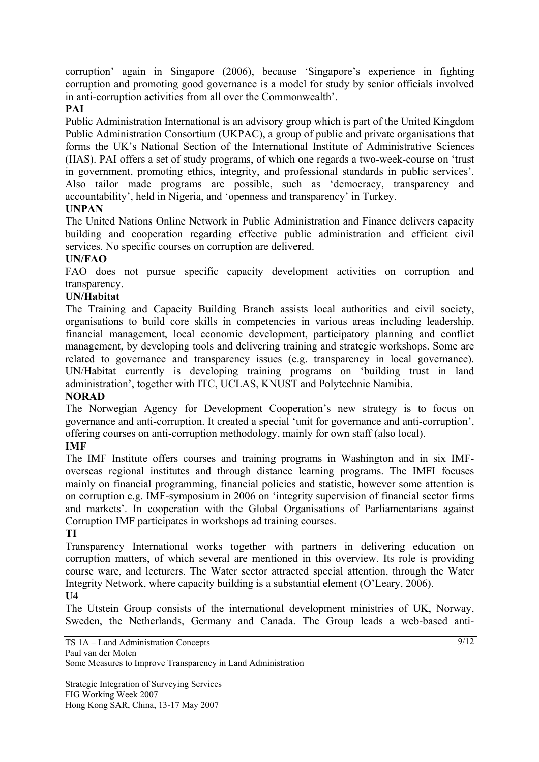corruption' again in Singapore (2006), because 'Singapore's experience in fighting corruption and promoting good governance is a model for study by senior officials involved in anti-corruption activities from all over the Commonwealth'.

## **PAI**

Public Administration International is an advisory group which is part of the United Kingdom Public Administration Consortium (UKPAC), a group of public and private organisations that forms the UK's National Section of the International Institute of Administrative Sciences (IIAS). PAI offers a set of study programs, of which one regards a two-week-course on 'trust in government, promoting ethics, integrity, and professional standards in public services'. Also tailor made programs are possible, such as 'democracy, transparency and accountability', held in Nigeria, and 'openness and transparency' in Turkey.

## **UNPAN**

The United Nations Online Network in Public Administration and Finance delivers capacity building and cooperation regarding effective public administration and efficient civil services. No specific courses on corruption are delivered.

## **UN/FAO**

FAO does not pursue specific capacity development activities on corruption and transparency.

## **UN/Habitat**

The Training and Capacity Building Branch assists local authorities and civil society, organisations to build core skills in competencies in various areas including leadership, financial management, local economic development, participatory planning and conflict management, by developing tools and delivering training and strategic workshops. Some are related to governance and transparency issues (e.g. transparency in local governance). UN/Habitat currently is developing training programs on 'building trust in land administration', together with ITC, UCLAS, KNUST and Polytechnic Namibia.

### **NORAD**

The Norwegian Agency for Development Cooperation's new strategy is to focus on governance and anti-corruption. It created a special 'unit for governance and anti-corruption', offering courses on anti-corruption methodology, mainly for own staff (also local).

### **IMF**

The IMF Institute offers courses and training programs in Washington and in six IMFoverseas regional institutes and through distance learning programs. The IMFI focuses mainly on financial programming, financial policies and statistic, however some attention is on corruption e.g. IMF-symposium in 2006 on 'integrity supervision of financial sector firms and markets'. In cooperation with the Global Organisations of Parliamentarians against Corruption IMF participates in workshops ad training courses.

## **TI**

Transparency International works together with partners in delivering education on corruption matters, of which several are mentioned in this overview. Its role is providing course ware, and lecturers. The Water sector attracted special attention, through the Water Integrity Network, where capacity building is a substantial element (O'Leary, 2006).

### **U4**

The Utstein Group consists of the international development ministries of UK, Norway, Sweden, the Netherlands, Germany and Canada. The Group leads a web-based anti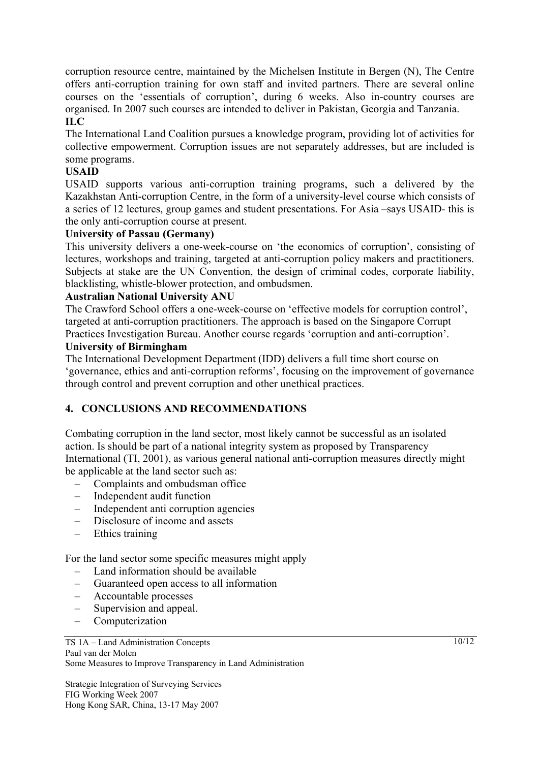corruption resource centre, maintained by the Michelsen Institute in Bergen (N), The Centre offers anti-corruption training for own staff and invited partners. There are several online courses on the 'essentials of corruption', during 6 weeks. Also in-country courses are organised. In 2007 such courses are intended to deliver in Pakistan, Georgia and Tanzania. **ILC** 

The International Land Coalition pursues a knowledge program, providing lot of activities for collective empowerment. Corruption issues are not separately addresses, but are included is some programs.

### **USAID**

USAID supports various anti-corruption training programs, such a delivered by the Kazakhstan Anti-corruption Centre, in the form of a university-level course which consists of a series of 12 lectures, group games and student presentations. For Asia –says USAID- this is the only anti-corruption course at present.

### **University of Passau (Germany)**

This university delivers a one-week-course on 'the economics of corruption', consisting of lectures, workshops and training, targeted at anti-corruption policy makers and practitioners. Subjects at stake are the UN Convention, the design of criminal codes, corporate liability, blacklisting, whistle-blower protection, and ombudsmen.

### **Australian National University ANU**

The Crawford School offers a one-week-course on 'effective models for corruption control', targeted at anti-corruption practitioners. The approach is based on the Singapore Corrupt Practices Investigation Bureau. Another course regards 'corruption and anti-corruption'.

#### **University of Birmingham**

The International Development Department (IDD) delivers a full time short course on 'governance, ethics and anti-corruption reforms', focusing on the improvement of governance through control and prevent corruption and other unethical practices.

## **4. CONCLUSIONS AND RECOMMENDATIONS**

Combating corruption in the land sector, most likely cannot be successful as an isolated action. Is should be part of a national integrity system as proposed by Transparency International (TI, 2001), as various general national anti-corruption measures directly might be applicable at the land sector such as:

- Complaints and ombudsman office
- Independent audit function
- Independent anti corruption agencies
- Disclosure of income and assets
- Ethics training

For the land sector some specific measures might apply

- Land information should be available
- Guaranteed open access to all information
- Accountable processes
- Supervision and appeal.
- Computerization

#### TS 1A – Land Administration Concepts Paul van der Molen Some Measures to Improve Transparency in Land Administration

Strategic Integration of Surveying Services FIG Working Week 2007 Hong Kong SAR, China, 13-17 May 2007

 $10/12$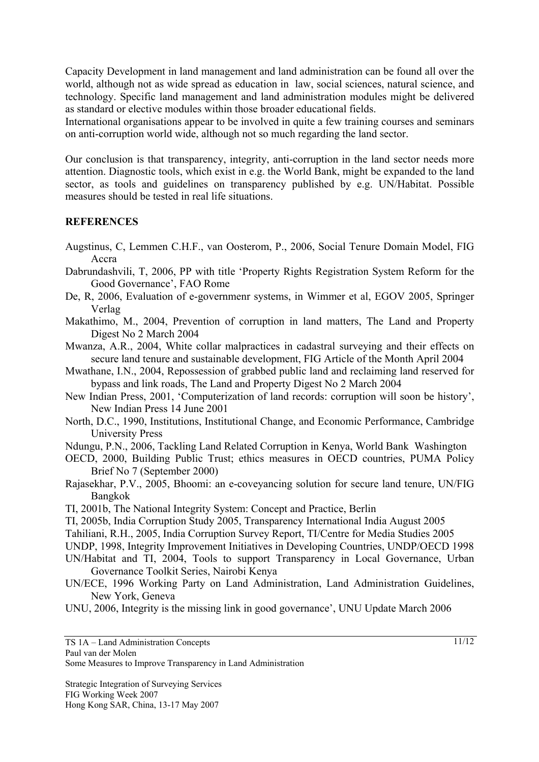Capacity Development in land management and land administration can be found all over the world, although not as wide spread as education in law, social sciences, natural science, and technology. Specific land management and land administration modules might be delivered as standard or elective modules within those broader educational fields.

International organisations appear to be involved in quite a few training courses and seminars on anti-corruption world wide, although not so much regarding the land sector.

Our conclusion is that transparency, integrity, anti-corruption in the land sector needs more attention. Diagnostic tools, which exist in e.g. the World Bank, might be expanded to the land sector, as tools and guidelines on transparency published by e.g. UN/Habitat. Possible measures should be tested in real life situations.

#### **REFERENCES**

- Augstinus, C, Lemmen C.H.F., van Oosterom, P., 2006, Social Tenure Domain Model, FIG Accra
- Dabrundashvili, T, 2006, PP with title 'Property Rights Registration System Reform for the Good Governance', FAO Rome
- De, R, 2006, Evaluation of e-governmenr systems, in Wimmer et al, EGOV 2005, Springer Verlag
- Makathimo, M., 2004, Prevention of corruption in land matters, The Land and Property Digest No 2 March 2004
- Mwanza, A.R., 2004, White collar malpractices in cadastral surveying and their effects on secure land tenure and sustainable development, FIG Article of the Month April 2004
- Mwathane, I.N., 2004, Repossession of grabbed public land and reclaiming land reserved for bypass and link roads, The Land and Property Digest No 2 March 2004
- New Indian Press, 2001, 'Computerization of land records: corruption will soon be history', New Indian Press 14 June 2001
- North, D.C., 1990, Institutions, Institutional Change, and Economic Performance, Cambridge University Press
- Ndungu, P.N., 2006, Tackling Land Related Corruption in Kenya, World Bank Washington
- OECD, 2000, Building Public Trust; ethics measures in OECD countries, PUMA Policy Brief No 7 (September 2000)
- Rajasekhar, P.V., 2005, Bhoomi: an e-coveyancing solution for secure land tenure, UN/FIG Bangkok
- TI, 2001b, The National Integrity System: Concept and Practice, Berlin
- TI, 2005b, India Corruption Study 2005, Transparency International India August 2005
- Tahiliani, R.H., 2005, India Corruption Survey Report, TI/Centre for Media Studies 2005
- UNDP, 1998, Integrity Improvement Initiatives in Developing Countries, UNDP/OECD 1998
- UN/Habitat and TI, 2004, Tools to support Transparency in Local Governance, Urban
- Governance Toolkit Series, Nairobi Kenya UN/ECE, 1996 Working Party on Land Administration, Land Administration Guidelines,
	- New York, Geneva
- UNU, 2006, Integrity is the missing link in good governance', UNU Update March 2006